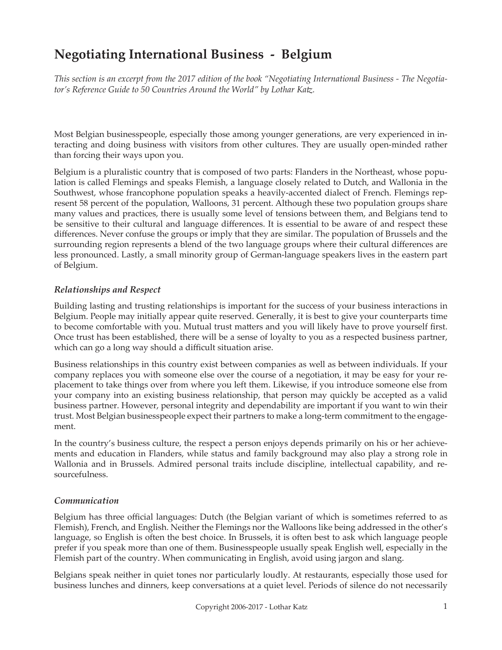# **Negotiating International Business - Belgium**

*This section is an excerpt from the 2017 edition of the book "Negotiating International Business - The Negotiator's Reference Guide to 50 Countries Around the World" by Lothar Katz.*

Most Belgian businesspeople, especially those among younger generations, are very experienced in interacting and doing business with visitors from other cultures. They are usually open-minded rather than forcing their ways upon you.

Belgium is a pluralistic country that is composed of two parts: Flanders in the Northeast, whose population is called Flemings and speaks Flemish, a language closely related to Dutch, and Wallonia in the Southwest, whose francophone population speaks a heavily-accented dialect of French. Flemings represent 58 percent of the population, Walloons, 31 percent. Although these two population groups share many values and practices, there is usually some level of tensions between them, and Belgians tend to be sensitive to their cultural and language differences. It is essential to be aware of and respect these differences. Never confuse the groups or imply that they are similar. The population of Brussels and the surrounding region represents a blend of the two language groups where their cultural differences are less pronounced. Lastly, a small minority group of German-language speakers lives in the eastern part of Belgium.

### *Relationships and Respect*

Building lasting and trusting relationships is important for the success of your business interactions in Belgium. People may initially appear quite reserved. Generally, it is best to give your counterparts time to become comfortable with you. Mutual trust matters and you will likely have to prove yourself first. Once trust has been established, there will be a sense of loyalty to you as a respected business partner, which can go a long way should a difficult situation arise.

Business relationships in this country exist between companies as well as between individuals. If your company replaces you with someone else over the course of a negotiation, it may be easy for your replacement to take things over from where you left them. Likewise, if you introduce someone else from your company into an existing business relationship, that person may quickly be accepted as a valid business partner. However, personal integrity and dependability are important if you want to win their trust. Most Belgian businesspeople expect their partners to make a long-term commitment to the engagement.

In the country's business culture, the respect a person enjoys depends primarily on his or her achievements and education in Flanders, while status and family background may also play a strong role in Wallonia and in Brussels. Admired personal traits include discipline, intellectual capability, and resourcefulness.

#### *Communication*

Belgium has three official languages: Dutch (the Belgian variant of which is sometimes referred to as Flemish), French, and English. Neither the Flemings nor the Walloons like being addressed in the other's language, so English is often the best choice. In Brussels, it is often best to ask which language people prefer if you speak more than one of them. Businesspeople usually speak English well, especially in the Flemish part of the country. When communicating in English, avoid using jargon and slang.

Belgians speak neither in quiet tones nor particularly loudly. At restaurants, especially those used for business lunches and dinners, keep conversations at a quiet level. Periods of silence do not necessarily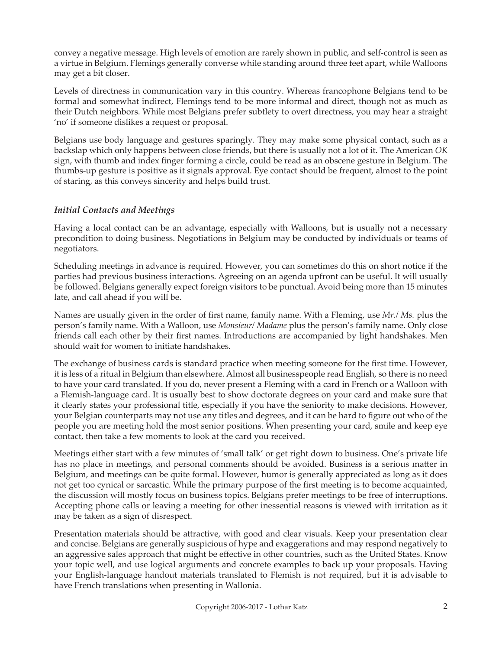convey a negative message. High levels of emotion are rarely shown in public, and self-control is seen as a virtue in Belgium. Flemings generally converse while standing around three feet apart, while Walloons may get a bit closer.

Levels of directness in communication vary in this country. Whereas francophone Belgians tend to be formal and somewhat indirect, Flemings tend to be more informal and direct, though not as much as their Dutch neighbors. While most Belgians prefer subtlety to overt directness, you may hear a straight 'no' if someone dislikes a request or proposal.

Belgians use body language and gestures sparingly. They may make some physical contact, such as a backslap which only happens between close friends, but there is usually not a lot of it. The American *OK* sign, with thumb and index finger forming a circle, could be read as an obscene gesture in Belgium. The thumbs-up gesture is positive as it signals approval. Eye contact should be frequent, almost to the point of staring, as this conveys sincerity and helps build trust.

## *Initial Contacts and Meetings*

Having a local contact can be an advantage, especially with Walloons, but is usually not a necessary precondition to doing business. Negotiations in Belgium may be conducted by individuals or teams of negotiators.

Scheduling meetings in advance is required. However, you can sometimes do this on short notice if the parties had previous business interactions. Agreeing on an agenda upfront can be useful. It will usually be followed. Belgians generally expect foreign visitors to be punctual. Avoid being more than 15 minutes late, and call ahead if you will be.

Names are usually given in the order of first name, family name. With a Fleming, use *Mr./ Ms.* plus the person's family name. With a Walloon, use *Monsieur/ Madame* plus the person's family name. Only close friends call each other by their first names. Introductions are accompanied by light handshakes. Men should wait for women to initiate handshakes.

The exchange of business cards is standard practice when meeting someone for the first time. However, it is less of a ritual in Belgium than elsewhere. Almost all businesspeople read English, so there is no need to have your card translated. If you do, never present a Fleming with a card in French or a Walloon with a Flemish-language card. It is usually best to show doctorate degrees on your card and make sure that it clearly states your professional title, especially if you have the seniority to make decisions. However, your Belgian counterparts may not use any titles and degrees, and it can be hard to figure out who of the people you are meeting hold the most senior positions. When presenting your card, smile and keep eye contact, then take a few moments to look at the card you received.

Meetings either start with a few minutes of 'small talk' or get right down to business. One's private life has no place in meetings, and personal comments should be avoided. Business is a serious matter in Belgium, and meetings can be quite formal. However, humor is generally appreciated as long as it does not get too cynical or sarcastic. While the primary purpose of the first meeting is to become acquainted, the discussion will mostly focus on business topics. Belgians prefer meetings to be free of interruptions. Accepting phone calls or leaving a meeting for other inessential reasons is viewed with irritation as it may be taken as a sign of disrespect.

Presentation materials should be attractive, with good and clear visuals. Keep your presentation clear and concise. Belgians are generally suspicious of hype and exaggerations and may respond negatively to an aggressive sales approach that might be effective in other countries, such as the United States. Know your topic well, and use logical arguments and concrete examples to back up your proposals. Having your English-language handout materials translated to Flemish is not required, but it is advisable to have French translations when presenting in Wallonia.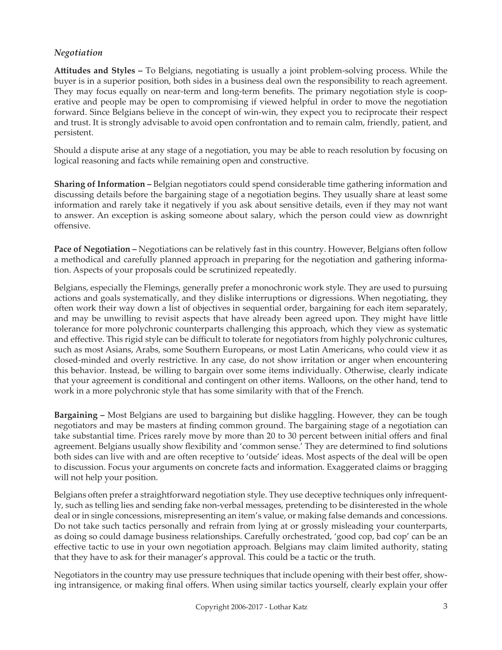### *Negotiation*

**Attitudes and Styles –** To Belgians, negotiating is usually a joint problem-solving process. While the buyer is in a superior position, both sides in a business deal own the responsibility to reach agreement. They may focus equally on near-term and long-term benefits. The primary negotiation style is cooperative and people may be open to compromising if viewed helpful in order to move the negotiation forward. Since Belgians believe in the concept of win-win, they expect you to reciprocate their respect and trust. It is strongly advisable to avoid open confrontation and to remain calm, friendly, patient, and persistent.

Should a dispute arise at any stage of a negotiation, you may be able to reach resolution by focusing on logical reasoning and facts while remaining open and constructive.

**Sharing of Information –** Belgian negotiators could spend considerable time gathering information and discussing details before the bargaining stage of a negotiation begins. They usually share at least some information and rarely take it negatively if you ask about sensitive details, even if they may not want to answer. An exception is asking someone about salary, which the person could view as downright offensive.

**Pace of Negotiation –** Negotiations can be relatively fast in this country. However, Belgians often follow a methodical and carefully planned approach in preparing for the negotiation and gathering information. Aspects of your proposals could be scrutinized repeatedly.

Belgians, especially the Flemings, generally prefer a monochronic work style. They are used to pursuing actions and goals systematically, and they dislike interruptions or digressions. When negotiating, they often work their way down a list of objectives in sequential order, bargaining for each item separately, and may be unwilling to revisit aspects that have already been agreed upon. They might have little tolerance for more polychronic counterparts challenging this approach, which they view as systematic and effective. This rigid style can be difficult to tolerate for negotiators from highly polychronic cultures, such as most Asians, Arabs, some Southern Europeans, or most Latin Americans, who could view it as closed-minded and overly restrictive. In any case, do not show irritation or anger when encountering this behavior. Instead, be willing to bargain over some items individually. Otherwise, clearly indicate that your agreement is conditional and contingent on other items. Walloons, on the other hand, tend to work in a more polychronic style that has some similarity with that of the French.

**Bargaining –** Most Belgians are used to bargaining but dislike haggling. However, they can be tough negotiators and may be masters at finding common ground. The bargaining stage of a negotiation can take substantial time. Prices rarely move by more than 20 to 30 percent between initial offers and final agreement. Belgians usually show flexibility and 'common sense.' They are determined to find solutions both sides can live with and are often receptive to 'outside' ideas. Most aspects of the deal will be open to discussion. Focus your arguments on concrete facts and information. Exaggerated claims or bragging will not help your position.

Belgians often prefer a straightforward negotiation style. They use deceptive techniques only infrequently, such as telling lies and sending fake non-verbal messages, pretending to be disinterested in the whole deal or in single concessions, misrepresenting an item's value, or making false demands and concessions. Do not take such tactics personally and refrain from lying at or grossly misleading your counterparts, as doing so could damage business relationships. Carefully orchestrated, 'good cop, bad cop' can be an effective tactic to use in your own negotiation approach. Belgians may claim limited authority, stating that they have to ask for their manager's approval. This could be a tactic or the truth.

Negotiators in the country may use pressure techniques that include opening with their best offer, showing intransigence, or making final offers. When using similar tactics yourself, clearly explain your offer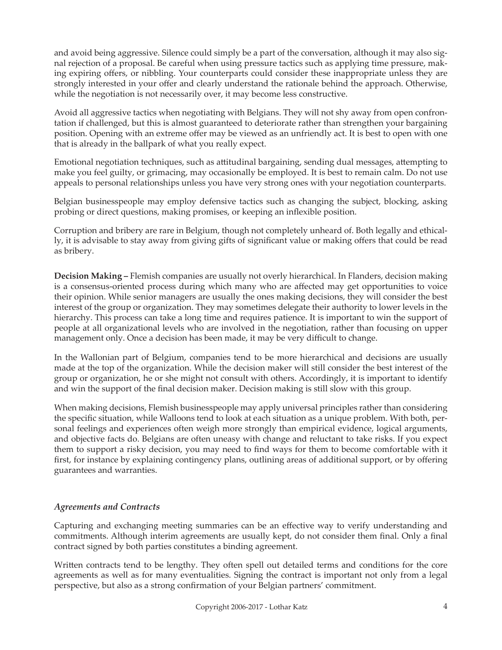and avoid being aggressive. Silence could simply be a part of the conversation, although it may also signal rejection of a proposal. Be careful when using pressure tactics such as applying time pressure, making expiring offers, or nibbling. Your counterparts could consider these inappropriate unless they are strongly interested in your offer and clearly understand the rationale behind the approach. Otherwise, while the negotiation is not necessarily over, it may become less constructive.

Avoid all aggressive tactics when negotiating with Belgians. They will not shy away from open confrontation if challenged, but this is almost guaranteed to deteriorate rather than strengthen your bargaining position. Opening with an extreme offer may be viewed as an unfriendly act. It is best to open with one that is already in the ballpark of what you really expect.

Emotional negotiation techniques, such as attitudinal bargaining, sending dual messages, attempting to make you feel guilty, or grimacing, may occasionally be employed. It is best to remain calm. Do not use appeals to personal relationships unless you have very strong ones with your negotiation counterparts.

Belgian businesspeople may employ defensive tactics such as changing the subject, blocking, asking probing or direct questions, making promises, or keeping an inflexible position.

Corruption and bribery are rare in Belgium, though not completely unheard of. Both legally and ethically, it is advisable to stay away from giving gifts of significant value or making offers that could be read as bribery.

**Decision Making –** Flemish companies are usually not overly hierarchical. In Flanders, decision making is a consensus-oriented process during which many who are affected may get opportunities to voice their opinion. While senior managers are usually the ones making decisions, they will consider the best interest of the group or organization. They may sometimes delegate their authority to lower levels in the hierarchy. This process can take a long time and requires patience. It is important to win the support of people at all organizational levels who are involved in the negotiation, rather than focusing on upper management only. Once a decision has been made, it may be very difficult to change.

In the Wallonian part of Belgium, companies tend to be more hierarchical and decisions are usually made at the top of the organization. While the decision maker will still consider the best interest of the group or organization, he or she might not consult with others. Accordingly, it is important to identify and win the support of the final decision maker. Decision making is still slow with this group.

When making decisions, Flemish businesspeople may apply universal principles rather than considering the specific situation, while Walloons tend to look at each situation as a unique problem. With both, personal feelings and experiences often weigh more strongly than empirical evidence, logical arguments, and objective facts do. Belgians are often uneasy with change and reluctant to take risks. If you expect them to support a risky decision, you may need to find ways for them to become comfortable with it first, for instance by explaining contingency plans, outlining areas of additional support, or by offering guarantees and warranties.

### *Agreements and Contracts*

Capturing and exchanging meeting summaries can be an effective way to verify understanding and commitments. Although interim agreements are usually kept, do not consider them final. Only a final contract signed by both parties constitutes a binding agreement.

Written contracts tend to be lengthy. They often spell out detailed terms and conditions for the core agreements as well as for many eventualities. Signing the contract is important not only from a legal perspective, but also as a strong confirmation of your Belgian partners' commitment.